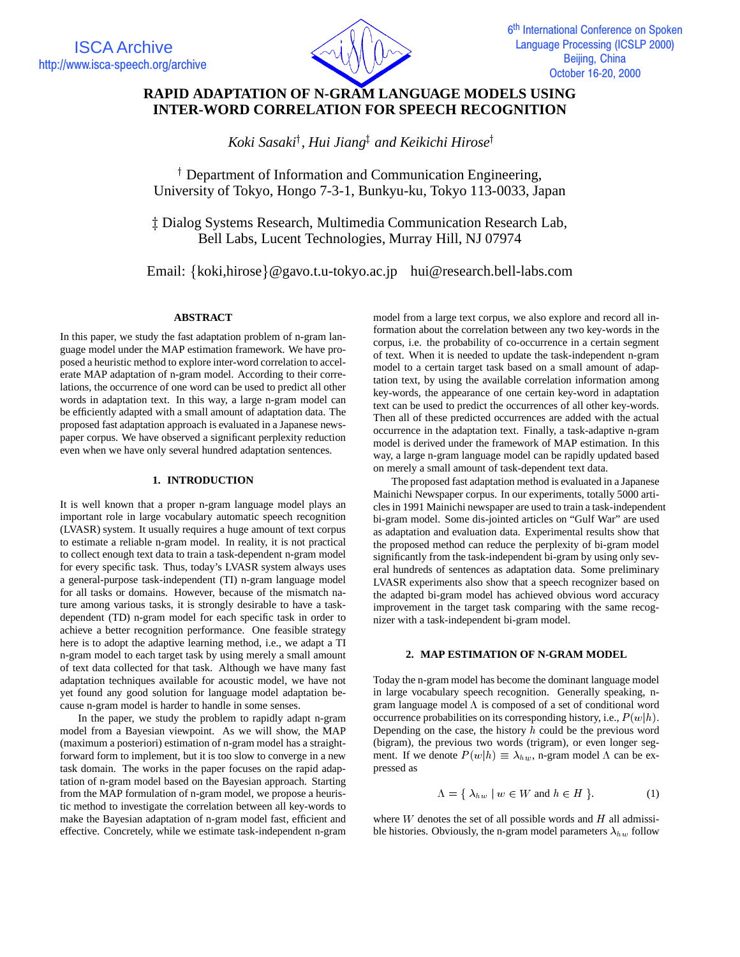

# **RAPID ADAPTATION OF N-GRAM LANGUAGE MODELS USING INTER-WORD CORRELATION FOR SPEECH RECOGNITION**

Koki Sasaki<sup>†</sup>, Hui Jiang‡ and Keikichi Hirose<sup>†</sup>

<sup>†</sup> Department of Information and Communication Engineering, University of Tokyo, Hongo 7-3-1, Bunkyu-ku, Tokyo 113-0033, Japan

 $\ddagger$  Dialog Systems Research, Multimedia Communication Research Lab, Bell Labs, Lucent Technologies, Murray Hill, NJ 07974

Email: {koki,hirose}@gavo.t.u-tokyo.ac.jp hui@research.bell-labs.com

# **ABSTRACT**

In this paper, we study the fast adaptation problem of n-gram language model under the MAP estimation framework. We have proposed a heuristic method to explore inter-word correlation to accelerate MAP adaptation of n-gram model. According to their correlations, the occurrence of one word can be used to predict all other words in adaptation text. In this way, a large n-gram model can be efficiently adapted with a small amount of adaptation data. The proposed fast adaptation approach is evaluated in a Japanese newspaper corpus. We have observed a significant perplexity reduction even when we have only several hundred adaptation sentences.

# **1. INTRODUCTION**

It is well known that a proper n-gram language model plays an important role in large vocabulary automatic speech recognition (LVASR) system. It usually requires a huge amount of text corpus to estimate a reliable n-gram model. In reality, it is not practical to collect enough text data to train a task-dependent n-gram model for every specific task. Thus, today's LVASR system always uses a general-purpose task-independent (TI) n-gram language model for all tasks or domains. However, because of the mismatch nature among various tasks, it is strongly desirable to have a taskdependent (TD) n-gram model for each specific task in order to achieve a better recognition performance. One feasible strategy here is to adopt the adaptive learning method, i.e., we adapt a TI n-gram model to each target task by using merely a small amount of text data collected for that task. Although we have many fast adaptation techniques available for acoustic model, we have not yet found any good solution for language model adaptation because n-gram model is harder to handle in some senses.

In the paper, we study the problem to rapidly adapt n-gram model from a Bayesian viewpoint. As we will show, the MAP (maximum a posteriori) estimation of n-gram model has a straightforward form to implement, but it is too slow to converge in a new task domain. The works in the paper focuses on the rapid adaptation of n-gram model based on the Bayesian approach. Starting from the MAP formulation of n-gram model, we propose a heuristic method to investigate the correlation between all key-words to make the Bayesian adaptation of n-gram model fast, efficient and effective. Concretely, while we estimate task-independent n-gram model from a large text corpus, we also explore and record all information about the correlation between any two key-words in the corpus, i.e. the probability of co-occurrence in a certain segment of text. When it is needed to update the task-independent n-gram model to a certain target task based on a small amount of adaptation text, by using the available correlation information among key-words, the appearance of one certain key-word in adaptation text can be used to predict the occurrences of all other key-words. Then all of these predicted occurrences are added with the actual occurrence in the adaptation text. Finally, a task-adaptive n-gram model is derived under the framework of MAP estimation. In this way, a large n-gram language model can be rapidly updated based on merely a small amount of task-dependent text data.

The proposed fast adaptation method is evaluated in a Japanese Mainichi Newspaper corpus. In our experiments, totally 5000 articles in 1991 Mainichi newspaper are used to train a task-independent bi-gram model. Some dis-jointed articles on "Gulf War" are used as adaptation and evaluation data. Experimental results show that the proposed method can reduce the perplexity of bi-gram model significantly from the task-independent bi-gram by using only several hundreds of sentences as adaptation data. Some preliminary LVASR experiments also show that a speech recognizer based on the adapted bi-gram model has achieved obvious word accuracy improvement in the target task comparing with the same recognizer with a task-independent bi-gram model.

# **2. MAP ESTIMATION OF N-GRAM MODEL**

Today the n-gram model has become the dominant language model in large vocabulary speech recognition. Generally speaking, ngram language model  $\Lambda$  is composed of a set of conditional word occurrence probabilities on its corresponding history, i.e.,  $P(w|h)$ . Depending on the case, the history  $h$  could be the previous word (bigram), the previous two words (trigram), or even longer segment. If we denote  $P(w|h) \equiv \lambda_{hw}$ , n-gram model  $\Lambda$  can be expressed as

$$
\Lambda = \{ \lambda_{hw} \mid w \in W \text{ and } h \in H \}.
$$
 (1)

where  $W$  denotes the set of all possible words and  $H$  all admissible histories. Obviously, the n-gram model parameters  $\lambda_{hw}$  follow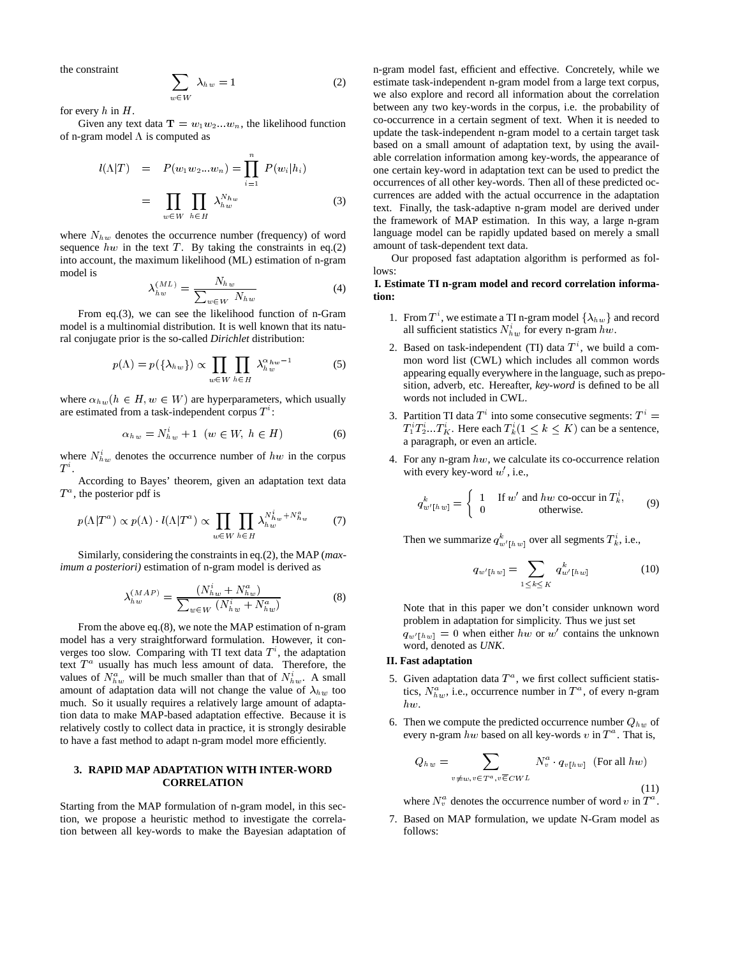the constraint

$$
\sum_{w \in W} \lambda_{hw} = 1 \tag{2}
$$

for every  $h$  in  $H$ .

Given any text data  $\mathbf{T} = w_1 w_2 ... w_n$ , the likelihood function of n-gram model  $\Lambda$  is computed as

$$
l(\Lambda|T) = P(w_1 w_2 ... w_n) = \prod_{i=1}^n P(w_i|h_i)
$$

$$
= \prod_{w \in W} \prod_{h \in H} \lambda_{hw}^{N_{hw}} \qquad (3)
$$

where  $N_{hw}$  denotes the occurrence number (frequency) of word sequence  $hw$  in the text  $T$ . By taking the constraints in eq.(2) into account, the maximum likelihood (ML) estimation of n-gram model is

$$
\lambda_{hw}^{(ML)} = \frac{N_{hw}}{\sum_{w \in W} N_{hw}} \tag{4}
$$

From eq.(3), we can see the likelihood function of n-Gram model is a multinomial distribution. It is well known that its natural conjugate prior is the so-called *Dirichlet* distribution:

$$
p(\Lambda) = p(\{\lambda_{hw}\}) \propto \prod_{w \in W} \prod_{h \in H} \lambda_{hw}^{\alpha_{hw}-1}
$$
 (5)

where  $\alpha_{hw}(h \in H, w \in W)$  are hyperparameters, which usually are estimated from a task-independent corpus  $T^*$ :

$$
\alpha_{h\,w} = N_{h\,w}^i + 1 \quad (w \in W, \ h \in H) \tag{6}
$$

where  $N_{hw}^{i}$  denotes the occurrence number of  $hw$  in the corpus  $T^i$ .

According to Bayes' theorem, given an adaptation text data  $T^a$ , the posterior pdf is

$$
p(\Lambda|T^a) \propto p(\Lambda) \cdot l(\Lambda|T^a) \propto \prod_{w \in W} \prod_{h \in H} \lambda_{hw}^{N_{hw}^i + N_{hw}^a} \tag{7}
$$

Similarly, considering the constraints in eq.(2), the MAP (*maximum a posteriori)* estimation of n-gram model is derived as

$$
\lambda_{hw}^{(MAP)} = \frac{(N_{hw}^i + N_{hw}^a)}{\sum_{w \in W} (N_{hw}^i + N_{hw}^a)}
$$
(8)

From the above eq.(8), we note the MAP estimation of n-gram model has a very straightforward formulation. However, it converges too slow. Comparing with TI text data  $T^i$ , the adaptation text  $T^a$  usually has much less amount of data. Therefore, the values of  $N_{hw}^a$  will be much smaller than that of  $N_{hw}^i$ . A small amount of adaptation data will not change the value of  $\lambda_{hw}$  too much. So it usually requires a relatively large amount of adaptation data to make MAP-based adaptation effective. Because it is relatively costly to collect data in practice, it is strongly desirable to have a fast method to adapt n-gram model more efficiently.

# **3. RAPID MAP ADAPTATION WITH INTER-WORD CORRELATION**

Starting from the MAP formulation of n-gram model, in this section, we propose a heuristic method to investigate the correlation between all key-words to make the Bayesian adaptation of n-gram model fast, efficient and effective. Concretely, while we estimate task-independent n-gram model from a large text corpus, we also explore and record all information about the correlation between any two key-words in the corpus, i.e. the probability of co-occurrence in a certain segment of text. When it is needed to update the task-independent n-gram model to a certain target task based on a small amount of adaptation text, by using the available correlation information among key-words, the appearance of one certain key-word in adaptation text can be used to predict the occurrences of all other key-words. Then all of these predicted occurrences are added with the actual occurrence in the adaptation text. Finally, the task-adaptive n-gram model are derived under the framework of MAP estimation. In this way, a large n-gram language model can be rapidly updated based on merely a small amount of task-dependent text data.

Our proposed fast adaptation algorithm is performed as follows:

# **I. Estimate TI n-gram model and record correlation information:**

- 1. From  $T^i$ , we estimate a TI n-gram model  $\{\lambda_{h w}\}\$  and record all sufficient statistics  $N_{hw}^i$  for every n-gram hw.
- 2. Based on task-independent (TI) data  $T<sup>i</sup>$ , we build a common word list (CWL) which includes all common words appearing equally everywhere in the language, such as preposition, adverb, etc. Hereafter, *key-word* is defined to be all words not included in CWL.
- 3. Partition TI data  $T^i$  into some consecutive segments:  $T^i =$  $T_1^i T_2^i...T_K^i$ . Here each  $T_k^i(1 \leq k \leq K)$  can be a sentence, a paragraph, or even an article.
- 4. For any n-gram  $hw$ , we calculate its co-occurrence relation with every key-word  $w'$ , i.e.,

$$
q_{w'[hw]}^k = \begin{cases} 1 & \text{If } w' \text{ and } hw \text{ co-occur in } T_k^i, \\ 0 & \text{otherwise.} \end{cases}
$$
(9)

Then we summarize  $q_{w'[hw]}^k$  over all segments  $T_k^i$ , i.e.,

$$
q_{w'[hw]} = \sum_{1 \leq k \leq K} q_{w'[hw]}^k \tag{10}
$$

Note that in this paper we don't consider unknown word problem in adaptation for simplicity. Thus we just set  $q_{w'|hw} = 0$  when either hw or w' contains the unknown word, denoted as *UNK*.

## **II. Fast adaptation**

- 5. Given adaptation data  $T^a$ , we first collect sufficient statistics,  $N_{h w}^{a}$ , i.e., occurrence number in  $T^{a}$ , of every n-gram hw.
- 6. Then we compute the predicted occurrence number  $Q_{hw}$  of every n-gram  $hw$  based on all key-words  $v$  in  $T^a$ . That is,

$$
Q_{hw} = \sum_{v \neq w, v \in T^a, v \in CWL} N_v^a \cdot q_{v[hw]} \text{ (For all } hw\text{)}
$$
\n
$$
(11)
$$

where  $N_v^a$  denotes the occurrence number of word v in  $T^a$ .

7. Based on MAP formulation, we update N-Gram model as follows: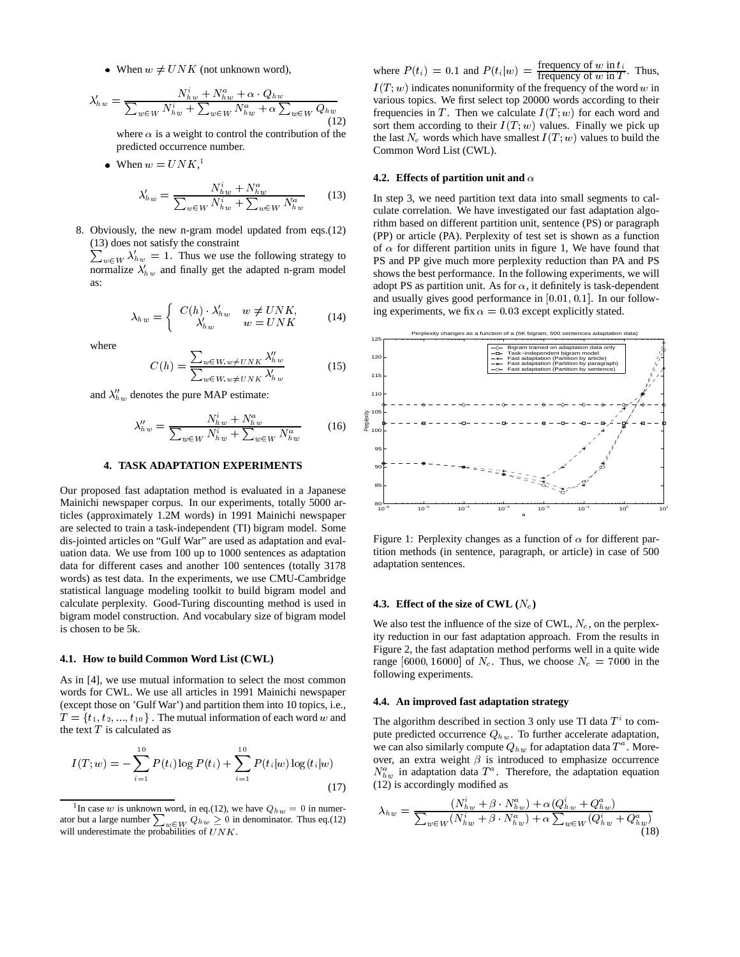• When  $w \neq UNK$  (not unknown word),

$$
\lambda_{hw}' = \frac{N_{hw}^i + N_{hw}^a + \alpha \cdot Q_{hw}}{\sum_{w \in W} N_{hw}^i + \sum_{w \in W} N_{hw}^a + \alpha \sum_{w \in W} Q_{hw}} \qquad \text{and} \qquad \text{and} \qquad \text{(12)}_{\text{non}}
$$

where  $\alpha$  is a weight to control the contribution of the predicted occurrence number.

• When  $w = UNK$ <sup>1</sup>,

$$
\lambda_{hw}' = \frac{N_{hw}^i + N_{hw}^a}{\sum_{w \in W} N_{hw}^i + \sum_{w \in W} N_{hw}^a}
$$
 (13)

8. Obviously, the new n-gram model updated from eqs.(12) (13) does not satisfy the constraint

 $\sum_{w \in W} \lambda'_{hw} = 1$ . Thus we use the following strategy to normalize  $\lambda'_{hw}$  and finally get the adapted n-gram model as:

$$
\lambda_{hw} = \begin{cases}\nC(h) \cdot \lambda_{hw}' & w \neq UNK, \\
\lambda_{hw}' & w = UNK\n\end{cases}
$$
\n(14)

where

$$
C(h) = \frac{\sum_{w \in W, w \neq UNK} \lambda_{hw}^W}{\sum_{w \in W, w \neq UNK} \lambda_{hw}^V}
$$
(15)

and  $\lambda_{hw}$  denotes the pure MAP estimate:

$$
\lambda_{hw}'' = \frac{N_{hw}^i + N_{hw}^a}{\sum_{w \in W} N_{hw}^i + \sum_{w \in W} N_{hw}^a}
$$
 (16)

## **4. TASK ADAPTATION EXPERIMENTS**

Our proposed fast adaptation method is evaluated in a Japanese Mainichi newspaper corpus. In our experiments, totally 5000 articles (approximately 1.2M words) in 1991 Mainichi newspaper are selected to train a task-independent (TI) bigram model. Some dis-jointed articles on "Gulf War" are used as adaptation and evaluation data. We use from 100 up to 1000 sentences as adaptation data for different cases and another 100 sentences (totally 3178 words) as test data. In the experiments, we use CMU-Cambridge statistical language modeling toolkit to build bigram model and calculate perplexity. Good-Turing discounting method is used in bigram model construction. And vocabulary size of bigram model is chosen to be 5k.

#### **4.1. How to build Common Word List (CWL)**

As in [4], we use mutual information to select the most common words for CWL. We use all articles in 1991 Mainichi newspaper (except those on 'Gulf War') and partition them into 10 topics, i.e.,  $T = \{t_1, t_2, ..., t_{10}\}\.$  The mutual information of each word w and the text  $T$  is calculated as

$$
I(T; w) = -\sum_{i=1}^{10} P(t_i) \log P(t_i) + \sum_{i=1}^{10} P(t_i|w) \log(t_i|w)
$$
\n(17)

where  $P(t_i) = 0.1$  and  $P(t_i|w) = \frac{\text{frequency of } w \text{ in } t_i}{\text{frequency of } w \text{ in } T}$ . Thus,

 $w \in W^{Q_h}$  frequencies in T. Then we calculate  $I(T; w)$  for each word and  $I(T; w)$  indicates nonuniformity of the frequency of the word w in various topics. We first select top 20000 words according to their sort them according to their  $I(T; w)$  values. Finally we pick up the last  $N_c$  words which have smallest  $I(T; w)$  values to build the Common Word List (CWL).

## **4.2. Effects of partition unit and**  $\alpha$

In step 3, we need partition text data into small segments to calculate correlation. We have investigated our fast adaptation algorithm based on different partition unit, sentence (PS) or paragraph (PP) or article (PA). Perplexity of test set is shown as a function of  $\alpha$  for different partition units in figure 1, We have found that PS and PP give much more perplexity reduction than PA and PS shows the best performance. In the following experiments, we will adopt PS as partition unit. As for  $\alpha$ , it definitely is task-dependent and usually gives good performance in  $[0.01, 0.1]$ . In our following experiments, we fix  $\alpha = 0.03$  except explicitly stated.



Figure 1: Perplexity changes as a function of  $\alpha$  for different partition methods (in sentence, paragraph, or article) in case of 500 adaptation sentences.

# **4.3. Effect of the size of CWL**  $(N_c)$

We also test the influence of the size of CWL,  $N_c$ , on the perplexity reduction in our fast adaptation approach. From the results in Figure 2, the fast adaptation method performs well in a quite wide range [6000, 16000] of  $N_c$ . Thus, we choose  $N_c = 7000$  in the following experiments.

#### **4.4. An improved fast adaptation strategy**

The algorithm described in section 3 only use TI data  $T^i$  to compute predicted occurrence  $Q_{hw}$ . To further accelerate adaptation, we can also similarly compute  $Q_{hw}$  for adaptation data  $T^a$ . Moreover, an extra weight  $\beta$  is introduced to emphasize occurrence  $N_{hw}^a$  in adaptation data  $T^a$ . Therefore, the adaptation equation (12) is accordingly modified as

$$
\lambda_{hw} = \frac{(N_{hw}^i + \beta \cdot N_{hw}^a) + \alpha (Q_{hw}^i + Q_{hw}^a)}{\sum_{w \in W} (N_{hw}^i + \beta \cdot N_{hw}^a) + \alpha \sum_{w \in W} (Q_{hw}^i + Q_{hw}^a)}
$$
(18)

<sup>&</sup>lt;sup>1</sup>In case w is unknown word, in eq.(12), we have  $Q_{hw} = 0$  in numerator but a large number  $\sum_{w \in W} Q_{hw} \ge 0$  in denominator. Thus eq.(12) will underestimate the probabilities of  $UNK$ .